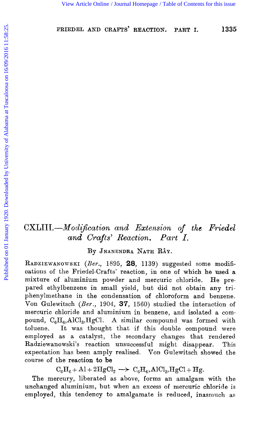# *CXLIII.-Mochjkation and Extension of the Friedel and Crafts' Reaction. Part I.*

By JNANENDRA NATH RÂY.

RADZIEWANOWSKI (Ber., 1895, 28, 1139) suggested some modifications of the Friedel-Crafts' reaction, in one of which he used a mixture of aluminium powder and mercuric chloride. He prepared ethylbenzene in small yield, but did not obtain any triphenylmethane in the condensation of chloroform and benzene. Von Gulewitsch *(Rer.,* 1904, **37,** 1560) studied the interaction of mercuric chloride and aluminium in benzene, and isolated a compound, C<sub>6</sub>H<sub>6</sub>,AlCl<sub>3</sub>,HgCl. A similar compound was formed with toluene. It was thought that if this double compound were employed as a catalyst, the secondary changes that rendered Radziewanowski's reaction unsuccessful might disappear. This expectation has been amply realised. Von Gulewitsch showed the course of the reaction to **be**  [View Article Online](http://dx.doi.org/10.1039/ct9201701335) [/ Journal Homepage](http://pubs.rsc.org/en/journals/journal/CT) [/ Table of Contents for this issue](http://pubs.rsc.org/en/journals/journal/CT?issueid=CT1920_117_0)<br>
FRIEDEL AND CRAFTS' REACTION. PART I. 1338<br>
FRIEDEL AND CRAFTS' REACTION. PART I. 1338<br>
The CXLIII.—*Modification and Extension of the Friedel*<br>
a

 $C_6H_6 + Al + 2HgCl_2 \longrightarrow C_6H_6, AlCl_3, HgCl + Hg.$ 

The mercury, liberated as above, forms an amalgam with the unchanged aluminium, but when an excess of mercuric chloride is employed, this tendency to amalgamate is reduced, inasmuch as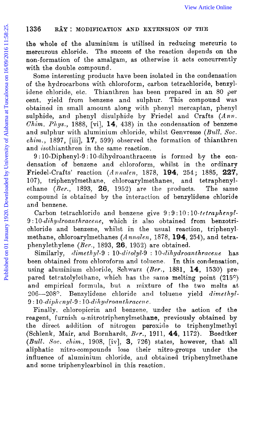the whole of the aluminium is utilised in reducing mercuric to mercurous chloride. The success of the reaction depends on the non-formation of the amalgam, as otherwise it acts concurrently with the double compound.

Some interesting products have been isolated in the condensation of the hydrocarbons with chloroform, carbon tetrachloride, benzylidene chloride, etc. Thianthren has been prepared in an 80 per cent. yield from benzene and sulphur. This compound was obtained in small amount along with phenyl mercaptan, phenyl sulphide, and phenyl disulphide by Friedel and Crafts (Ann. *Chim. Pliys.,* 1888, [vi], **14,** 438) in the condensation of benzene and sulphur with aluminium chloride, whilst Genvresse (Bull. Soc. *chim.,* 1897, [iii], **17,** 599) observed the formation of thianthren and isothianthren in the same reaction. [View Article Online](http://dx.doi.org/10.1039/ct9201701335)<br>
The whole of the aluminium is utilised in reducing mercuric mercurous chloride. The success of the reaction depends on the<br>
non-formation of the amalgam, as otherwise it acts concurrent<br>
information o

9 : 10-Diphenyl-9 : 10-dihydrosnthracene is formed by the condensation of benzene and chloroform, whilst in the ordinary Friedel-Crafts' reaction *(Annalen,* 1878, 194, 254; 1885, 227, 107), triphenylmethane, chloroarylmethanes, and tetraphenyl-107), triphenylmethane, chloroarylmethanes, and ethane *(Ber.*, 1893, 26, 1952) are the products. The same compound is obtained by the interaction of benzylidene chloride and benzene.

Carbon tetrachloride and benzene give  $9:9:10:10:tetraphenyl$ -9:10-dihydroanthracene, which is also obtained from benzotrichloride and benzene, whilst in the usual reaction, triphenylmethane, chloroarylinethanes *(A nnnlen,* 1878, **194,** 254), and tetraphenylethylene *(Ber.,* 1893, 26, 1952) are obtained.

Similarly, *dimethyl-9* : 10-ditolyl-9 : 10-dihydroanthracene has been obtained from chloroform and toluene. In this condensation, using aluminium chloride, Schwarz *(Rer.,* 1881, **14,** 1530) prepared tetratolylethane, which has the same melting point  $(215^{\circ})$ and empirical formula, but a mixture of the two melts at 20G-208°. Renzylidene chloride and toluene yield *dimethy!-*   $9: 10$ -diphenyl- $9: 10$ -dihydroanthracene.

Finally, chloropicrin and benzene, under the action of the reagent, furnish w-nitrotriphenylmethane, previously obtained by the direct addition of nitrogen peroxide to triphenylmethyl (Schlenk, Mair, and Bornhardt, Ber., 1911, 44, 1172). Boedtker (Bull. Soc. *chim.*, 1908, [iv], 3, 726) states, however, that all aliphatic nitro-compounds lose their nitro-groups under the influence of aluminium chloride, and obtained triphenylmethane and some triphenylcarbinol in this reaction,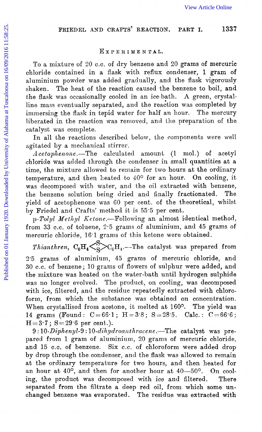## FRIEDEL AND CRAFTS' REACTION. PART I. 1337

#### **Ex** *P* **E** *R* **I ME N TAL.**

To a mixture of 20 C.C. of dry benzene and 20 grams of mercuric chloride contained in a flask with reflux condenser, 1 gram of aluminium powder was added gradually, and the flask vigorously shaken. The heat of the reaction caused the benzene to boil, and the flask was occasionally cooled in an ice-bath. A green, crystalline mass eventually separated, and the reaction was completed by immersing the flask in tepid water for half an hour. The mercury liberated in the reaction was removed, and the preparation of the catalyst was complete. [View Article Online](http://dx.doi.org/10.1039/ct9201701335)<br>
FRIEDIEL AND CRAFTS' REACTION. PART I. 133<br>
To a mixture of 20 c.c. of dry benzene and 20 grams of mercure<br>
chloride contained in a flask with reductive condense, 1 gram<br>
aluminium powder was added gr

In all the reactions described below, the components were well agitated by a mechanical stirrer.

Acetophenone.—The calculated amount (1 mol.) of acetyl chloride was added through the condenser in small quantities at a time, the mixture allowed to remain for two hours at the ordinary temperature, and then heated to  $40^{\circ}$  for an hour. On cooling, it was decomposed with water, and the oil extracted with benzene, the benzene solution being dried and finally fractionated. The the benzene solution being dried and finally fractionated. yield of acetophenone was GO per cent. of the theoretical, whilst by Friedel and Crafts' method it is 55.5 per cent.

p-Tolyl Methyl Ketone.---Following an almost identical method, from **33 C.C.** of toluene, 2.5 grams **of** aluminium, and 45 grams of mercuric chloride, 16.1 grams of this ketone were obtained.

*Thianthren,*  $C_6H_4\left(\sum_{\alpha}^{S_1}\right)C_6H_4$ . The catalyst was prepared from 2.5 grams of aluminium, 45 grams of mercuric chloride, and **30** C.C. of benzene; *I0* grams of flowers of sulphur were added, and the mixture was heated on the water-bath until hydrogen sulphide was no longer evolved. The product, on cooling, was decomposed with ice, filtered, and the residue repeatedly extracted with chloroform, from which the substance was obtained on concentration. When crystallised from acetone, it melted at 160°. The yield was 14 grams (Found:  $C=66.1$ ;  $H=3.8$ ;  $S=28.5$ . Calc.:  $C=66.6$ ;  $H=3.7$ ;  $S=29.6$  per cent.).

9:10-Diphenyl-9:10-dihydroanthracene.-The catalyst was prepared from 1 gram of aluminium, 20 grams of mercuric chloride, and 15 c.c. of benzene. Six c.c. of chloroform were added drop **by** drop through the condenser, and the flask was allowed to remain at the ordinary temperature for two hours, and then heated for an hour at  $40^{\circ}$ , and then for another hour at  $40-50^{\circ}$ . On cooling, the product was decomposed with ice and filtered. There separated from the filtrate a deep red oil, from which some **un**changed benzene was evaporated. The residue was extracted with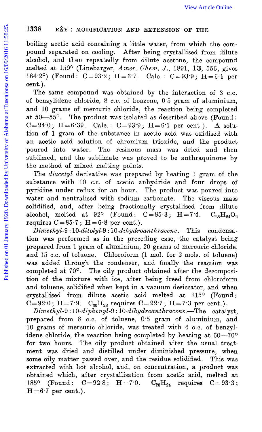### **1335 RAY:** MODIFICATION AND EXTENSION OF THE

boiling acetic acid containing a little water, from which the compound separated on cooling. After being crystallised from dilute alcohol, and then repeatedly from dilute acetone, the compound melted at 159° (Linebarger, *Amer. Chem. J.*, 1891, 13, 556, gives 164.2°) (Found:  $C = 93.2$ ;  $H = 6.7$ . Calc.:  $C = 93.9$ ;  $H = 6.1$  per cent.).

The same compound was obtained by the interaction of 3 c.c. of benzylidene chloride, 8 C.C. of benzene, 0.5 gram of aluminium, and 10 grams of mercuric chloride, the reaction being completed at  $50-55^\circ$ . The product was isolated as described above (Found:  $C = 94.0$ ;  $H = 6.39$ . Calc.:  $C = 93.9$ ;  $H = 6.1$  per cent.). A solution of 1 gram of the substance in acetic acid was oxidised with an acetic acid solution of chromium trioxide, and the product poured into water. The resinous mass was dried and then sublimed, and the sublimate was proved to be anthraquinone by the method of mixed melting points. [View Article Online](http://dx.doi.org/10.1039/ct9201701335)<br>
Publing acetic acid containing a little water, from which the correlation<br>
point separated on cooling. After being crystallised from dilute<br>
alcohol, and then repeatedly from dilute acetone, the compo

The *diacetyl* derivative was prepared by heating 1 gram of the substance with 10 c.c. of acetic anhydride and four drops of pyridine under reflux for an hour. The product was poured into water and neutralised with sodium carbonate. The viscous mass solidified, and, after being fractionally crystallised from dilute alcohol, melted at 92° (Found:  $C=85.3$ ; H=7.4.  $C_{28}H_{24}O_2$ requires  $C=85.7$ ;  $H=6.8$  per cent.).

 $\overline{Dimethyl-9:10-ditolyl-9:10-dihydroanthracene. -This condensa$ tion was performed as in the preceding case, the catalyst being prepared from 1 gram of aluminium, 20 grams of mercuric chloride, and 15 c.c. of toluene. Chloroform (1 mol. for 2 mols. of toluene) was added through the condenser, and finally the reaction was completed at 70°. The oily product obtained after the decomposition of the mixture with ice, after being freed from chloroform and toluene, solidified when kept in a vacuum desiccator, and when crystallised from dilute acetic acid melted at  $215^{\circ}$  (Found:  $C=92.0$ ; H=7.9.  $C_{30}H_{28}$  requires  $C=92.7$ ; H=7.3 per cent.).

catalyst, prepared from 8 c.c. of toluene, 0.5 gram of aluminium, and  $D = 2$  of  $\frac{1}{2}$  of  $\frac{1}{2}$  of  $\frac{1}{2}$  of  $\frac{1}{2}$  of  $\frac{1}{2}$  of  $\frac{1}{2}$  of  $\frac{1}{2}$  of  $\frac{1}{2}$  of  $\frac{1}{2}$  of  $\frac{1}{2}$  or  $\frac{1}{2}$  of 10 grams of mercuric chloride, was treated with **4** C.C. of benzylidene chloride, the reaction being completed by heating at  $60-70^{\circ}$ for two hours. The oily product obtained after the usual treatment was dried and distilled under diminished pressure, when some oily matter passed over, and the residue solidified. This was extracted with hot alcohol, and, on concentration, a product was obtained which, after crystallisation from acetic acid, melted at  $185^{\circ}$  (Found:  $C = 92.8$ ;  $H = 7.0$ .  $C_{28}H_{24}$  requires  $C = 93.3$ ; 185° (Found:  $C=92.8$ ; H = 7.0.<br>H = 6.7 per cent.).